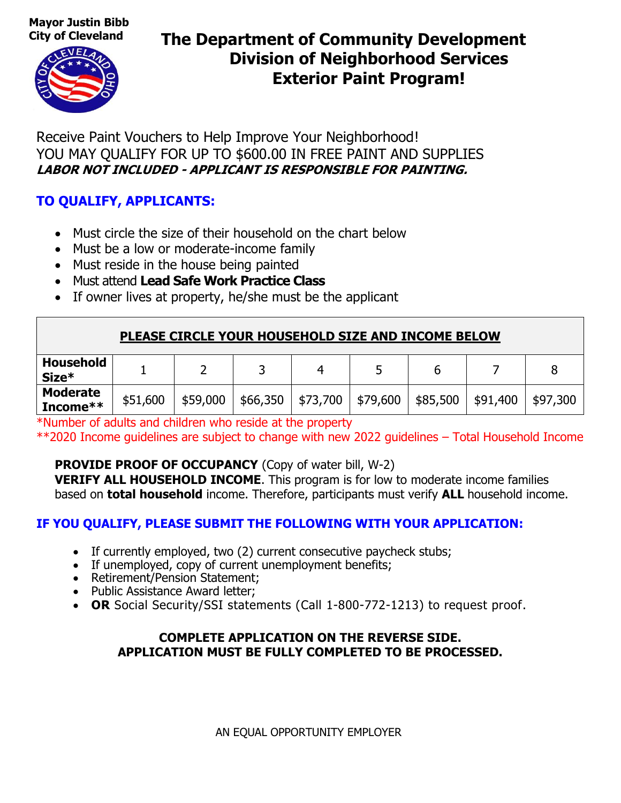**Mayor Justin Bibb** 



### **City of Cleveland The Department of Community Development Division of Neighborhood Services Exterior Paint Program!**

Receive Paint Vouchers to Help Improve Your Neighborhood! YOU MAY QUALIFY FOR UP TO \$600.00 IN FREE PAINT AND SUPPLIES **LABOR NOT INCLUDED - APPLICANT IS RESPONSIBLE FOR PAINTING.**

### **TO QUALIFY, APPLICANTS:**

- Must circle the size of their household on the chart below
- Must be a low or moderate-income family
- Must reside in the house being painted
- Must attend **Lead Safe Work Practice Class**
- If owner lives at property, he/she must be the applicant

### **PLEASE CIRCLE YOUR HOUSEHOLD SIZE AND INCOME BELOW**

| <b>Household</b><br>Size*   |          |          |          |          |            |          |          |          |
|-----------------------------|----------|----------|----------|----------|------------|----------|----------|----------|
| <b>Moderate</b><br>Income** | \$51,600 | \$59,000 | \$66,350 | \$73,700 | ∫ \$79,600 | \$85,500 | \$91,400 | \$97,300 |

\*Number of adults and children who reside at the property

\*\*2020 Income guidelines are subject to change with new 2022 guidelines – Total Household Income

### **PROVIDE PROOF OF OCCUPANCY** (Copy of water bill, W-2)

**VERIFY ALL HOUSEHOLD INCOME**. This program is for low to moderate income families based on **total household** income. Therefore, participants must verify **ALL** household income.

### **IF YOU QUALIFY, PLEASE SUBMIT THE FOLLOWING WITH YOUR APPLICATION:**

- If currently employed, two (2) current consecutive paycheck stubs;
- If unemployed, copy of current unemployment benefits;
- Retirement/Pension Statement;
- Public Assistance Award letter;
- **OR** Social Security/SSI statements (Call 1-800-772-1213) to request proof.

#### **COMPLETE APPLICATION ON THE REVERSE SIDE. APPLICATION MUST BE FULLY COMPLETED TO BE PROCESSED.**

AN EQUAL OPPORTUNITY EMPLOYER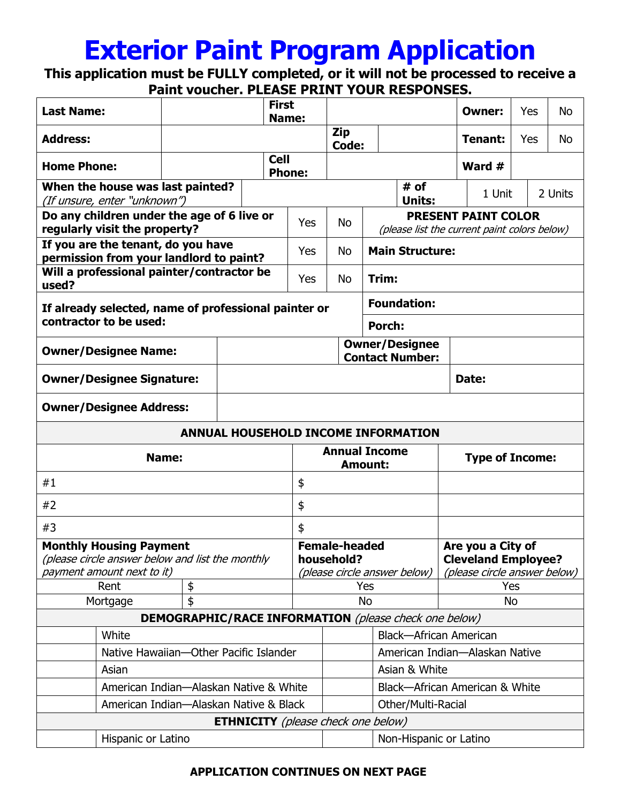# **Exterior Paint Program Application**

**This application must be FULLY completed, or it will not be processed to receive a Paint voucher. PLEASE PRINT YOUR RESPONSES.**

| <b>Last Name:</b>                                                                  |                                        |                                                              |  | <b>First</b><br>Name:                           |                                           |            |                                                                            |        | Owner:                        | Yes | No                                              |            |         |  |
|------------------------------------------------------------------------------------|----------------------------------------|--------------------------------------------------------------|--|-------------------------------------------------|-------------------------------------------|------------|----------------------------------------------------------------------------|--------|-------------------------------|-----|-------------------------------------------------|------------|---------|--|
| <b>Address:</b>                                                                    |                                        |                                                              |  |                                                 |                                           | Zip        | Code:                                                                      |        |                               |     | Tenant:                                         | <b>Yes</b> | No      |  |
| <b>Home Phone:</b>                                                                 |                                        |                                                              |  |                                                 | <b>Cell</b><br><b>Phone:</b>              |            |                                                                            |        |                               |     | Ward #                                          |            |         |  |
| When the house was last painted?<br>(If unsure, enter "unknown")                   |                                        |                                                              |  |                                                 |                                           |            |                                                                            |        | # of<br><b>Units:</b>         |     | 1 Unit                                          |            | 2 Units |  |
| Do any children under the age of 6 live or<br>regularly visit the property?        |                                        |                                                              |  | Yes                                             |                                           | <b>No</b>  | <b>PRESENT PAINT COLOR</b><br>(please list the current paint colors below) |        |                               |     |                                                 |            |         |  |
| If you are the tenant, do you have<br>permission from your landlord to paint?      |                                        |                                                              |  | <b>Yes</b>                                      |                                           | <b>No</b>  | <b>Main Structure:</b>                                                     |        |                               |     |                                                 |            |         |  |
| Will a professional painter/contractor be<br>used?                                 |                                        |                                                              |  | <b>Yes</b>                                      |                                           | <b>No</b>  | Trim:                                                                      |        |                               |     |                                                 |            |         |  |
| If already selected, name of professional painter or                               |                                        |                                                              |  |                                                 |                                           |            | <b>Foundation:</b>                                                         |        |                               |     |                                                 |            |         |  |
| contractor to be used:                                                             |                                        |                                                              |  |                                                 |                                           |            |                                                                            | Porch: |                               |     |                                                 |            |         |  |
| <b>Owner/Designee Name:</b>                                                        |                                        |                                                              |  | <b>Owner/Designee</b><br><b>Contact Number:</b> |                                           |            |                                                                            |        |                               |     |                                                 |            |         |  |
| <b>Owner/Designee Signature:</b>                                                   |                                        |                                                              |  |                                                 |                                           |            |                                                                            |        |                               |     | Date:                                           |            |         |  |
| <b>Owner/Designee Address:</b>                                                     |                                        |                                                              |  |                                                 |                                           |            |                                                                            |        |                               |     |                                                 |            |         |  |
| ANNUAL HOUSEHOLD INCOME INFORMATION                                                |                                        |                                                              |  |                                                 |                                           |            |                                                                            |        |                               |     |                                                 |            |         |  |
|                                                                                    |                                        |                                                              |  |                                                 |                                           |            |                                                                            |        |                               |     |                                                 |            |         |  |
|                                                                                    |                                        | Name:                                                        |  |                                                 |                                           |            | <b>Annual Income</b><br><b>Amount:</b>                                     |        |                               |     | <b>Type of Income:</b>                          |            |         |  |
| #1                                                                                 |                                        |                                                              |  |                                                 | \$                                        |            |                                                                            |        |                               |     |                                                 |            |         |  |
| #2                                                                                 |                                        |                                                              |  |                                                 | \$                                        |            |                                                                            |        |                               |     |                                                 |            |         |  |
| #3                                                                                 |                                        |                                                              |  |                                                 | \$                                        |            |                                                                            |        |                               |     |                                                 |            |         |  |
| <b>Monthly Housing Payment</b><br>(please circle answer below and list the monthly |                                        |                                                              |  |                                                 |                                           | household? | <b>Female-headed</b>                                                       |        |                               |     | Are you a City of<br><b>Cleveland Employee?</b> |            |         |  |
| payment amount next to it)                                                         | Rent                                   | \$                                                           |  |                                                 |                                           |            | Yes                                                                        |        | (please circle answer below)  |     | (please circle answer below)<br>Yes             |            |         |  |
|                                                                                    | Mortgage                               | \$                                                           |  |                                                 |                                           |            | No                                                                         |        |                               |     | <b>No</b>                                       |            |         |  |
|                                                                                    |                                        | <b>DEMOGRAPHIC/RACE INFORMATION</b> (please check one below) |  |                                                 |                                           |            |                                                                            |        |                               |     |                                                 |            |         |  |
|                                                                                    | White                                  |                                                              |  |                                                 |                                           |            |                                                                            |        | <b>Black-African American</b> |     |                                                 |            |         |  |
|                                                                                    | Native Hawaiian-Other Pacific Islander |                                                              |  |                                                 |                                           |            |                                                                            |        |                               |     | American Indian-Alaskan Native                  |            |         |  |
|                                                                                    | Asian                                  |                                                              |  |                                                 |                                           |            |                                                                            |        | Asian & White                 |     |                                                 |            |         |  |
|                                                                                    | American Indian-Alaskan Native & White |                                                              |  |                                                 |                                           |            |                                                                            |        |                               |     | Black-African American & White                  |            |         |  |
|                                                                                    | American Indian-Alaskan Native & Black |                                                              |  |                                                 |                                           |            |                                                                            |        | Other/Multi-Racial            |     |                                                 |            |         |  |
|                                                                                    | Hispanic or Latino                     |                                                              |  |                                                 | <b>ETHNICITY</b> (please check one below) |            |                                                                            |        | Non-Hispanic or Latino        |     |                                                 |            |         |  |

#### **APPLICATION CONTINUES ON NEXT PAGE**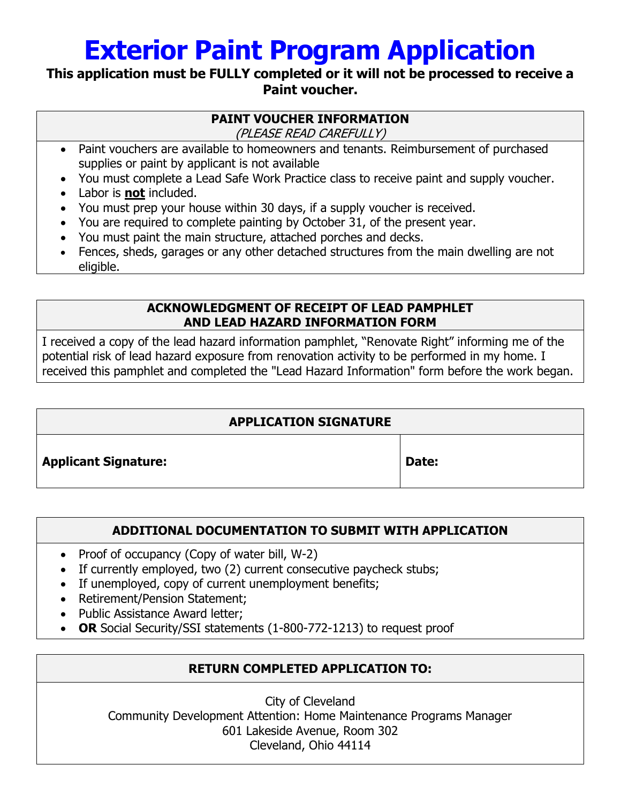# **Exterior Paint Program Application**

### **This application must be FULLY completed or it will not be processed to receive a Paint voucher.**

### **PAINT VOUCHER INFORMATION**

(PLEASE READ CAREFULLY)

- Paint vouchers are available to homeowners and tenants. Reimbursement of purchased supplies or paint by applicant is not available
- You must complete a Lead Safe Work Practice class to receive paint and supply voucher.
- Labor is **not** included.
- You must prep your house within 30 days, if a supply voucher is received.
- You are required to complete painting by October 31, of the present year.
- You must paint the main structure, attached porches and decks.
- Fences, sheds, garages or any other detached structures from the main dwelling are not eligible.

### **ACKNOWLEDGMENT OF RECEIPT OF LEAD PAMPHLET AND LEAD HAZARD INFORMATION FORM**

I received a copy of the lead hazard information pamphlet, "Renovate Right" informing me of the potential risk of lead hazard exposure from renovation activity to be performed in my home. I received this pamphlet and completed the "Lead Hazard Information" form before the work began.

### **APPLICATION SIGNATURE**

Applicant Signature: **Applicant Signature: Date:** 

### **ADDITIONAL DOCUMENTATION TO SUBMIT WITH APPLICATION**

- Proof of occupancy (Copy of water bill,  $W-2$ )
- If currently employed, two (2) current consecutive paycheck stubs;
- If unemployed, copy of current unemployment benefits;
- Retirement/Pension Statement;
- Public Assistance Award letter;
- **OR** Social Security/SSI statements (1-800-772-1213) to request proof

### **RETURN COMPLETED APPLICATION TO:**

City of Cleveland Community Development Attention: Home Maintenance Programs Manager 601 Lakeside Avenue, Room 302 Cleveland, Ohio 44114